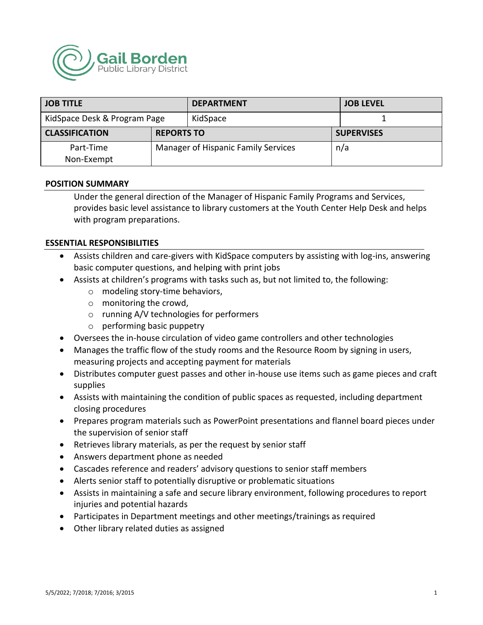

| <b>JOB TITLE</b>             |                                     | <b>DEPARTMENT</b> | <b>JOB LEVEL</b>  |
|------------------------------|-------------------------------------|-------------------|-------------------|
| KidSpace Desk & Program Page |                                     | KidSpace          |                   |
| <b>CLASSIFICATION</b>        | <b>REPORTS TO</b>                   |                   | <b>SUPERVISES</b> |
| Part-Time<br>Non-Exempt      | Manager of Hispanic Family Services |                   | n/a               |

#### **POSITION SUMMARY**

Under the general direction of the Manager of Hispanic Family Programs and Services, provides basic level assistance to library customers at the Youth Center Help Desk and helps with program preparations.

#### **ESSENTIAL RESPONSIBILITIES**

- Assists children and care-givers with KidSpace computers by assisting with log-ins, answering basic computer questions, and helping with print jobs
- Assists at children's programs with tasks such as, but not limited to, the following:
	- o modeling story-time behaviors,
	- o monitoring the crowd,
	- o running A/V technologies for performers
	- o performing basic puppetry
- Oversees the in-house circulation of video game controllers and other technologies
- Manages the traffic flow of the study rooms and the Resource Room by signing in users, measuring projects and accepting payment for materials
- Distributes computer guest passes and other in-house use items such as game pieces and craft supplies
- Assists with maintaining the condition of public spaces as requested, including department closing procedures
- Prepares program materials such as PowerPoint presentations and flannel board pieces under the supervision of senior staff
- Retrieves library materials, as per the request by senior staff
- Answers department phone as needed
- Cascades reference and readers' advisory questions to senior staff members
- Alerts senior staff to potentially disruptive or problematic situations
- Assists in maintaining a safe and secure library environment, following procedures to report injuries and potential hazards
- Participates in Department meetings and other meetings/trainings as required
- Other library related duties as assigned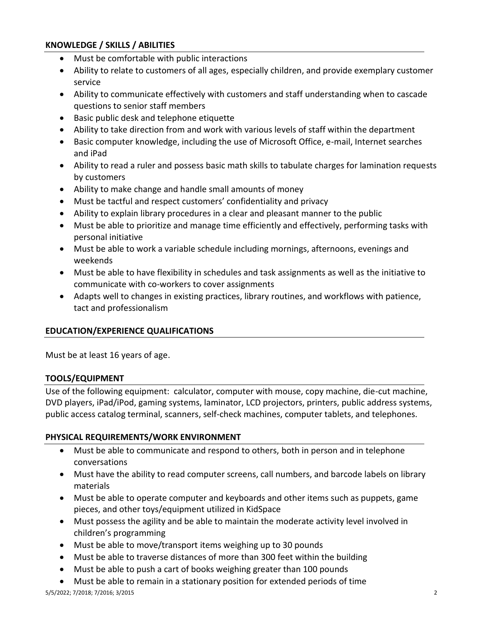# **KNOWLEDGE / SKILLS / ABILITIES**

- Must be comfortable with public interactions
- Ability to relate to customers of all ages, especially children, and provide exemplary customer service
- Ability to communicate effectively with customers and staff understanding when to cascade questions to senior staff members
- Basic public desk and telephone etiquette
- Ability to take direction from and work with various levels of staff within the department
- Basic computer knowledge, including the use of Microsoft Office, e-mail, Internet searches and iPad
- Ability to read a ruler and possess basic math skills to tabulate charges for lamination requests by customers
- Ability to make change and handle small amounts of money
- Must be tactful and respect customers' confidentiality and privacy
- Ability to explain library procedures in a clear and pleasant manner to the public
- Must be able to prioritize and manage time efficiently and effectively, performing tasks with personal initiative
- Must be able to work a variable schedule including mornings, afternoons, evenings and weekends
- Must be able to have flexibility in schedules and task assignments as well as the initiative to communicate with co-workers to cover assignments
- Adapts well to changes in existing practices, library routines, and workflows with patience, tact and professionalism

## **EDUCATION/EXPERIENCE QUALIFICATIONS**

Must be at least 16 years of age.

## **TOOLS/EQUIPMENT**

Use of the following equipment: calculator, computer with mouse, copy machine, die-cut machine, DVD players, iPad/iPod, gaming systems, laminator, LCD projectors, printers, public address systems, public access catalog terminal, scanners, self-check machines, computer tablets, and telephones.

## **PHYSICAL REQUIREMENTS/WORK ENVIRONMENT**

- Must be able to communicate and respond to others, both in person and in telephone conversations
- Must have the ability to read computer screens, call numbers, and barcode labels on library materials
- Must be able to operate computer and keyboards and other items such as puppets, game pieces, and other toys/equipment utilized in KidSpace
- Must possess the agility and be able to maintain the moderate activity level involved in children's programming
- Must be able to move/transport items weighing up to 30 pounds
- Must be able to traverse distances of more than 300 feet within the building
- Must be able to push a cart of books weighing greater than 100 pounds
- Must be able to remain in a stationary position for extended periods of time